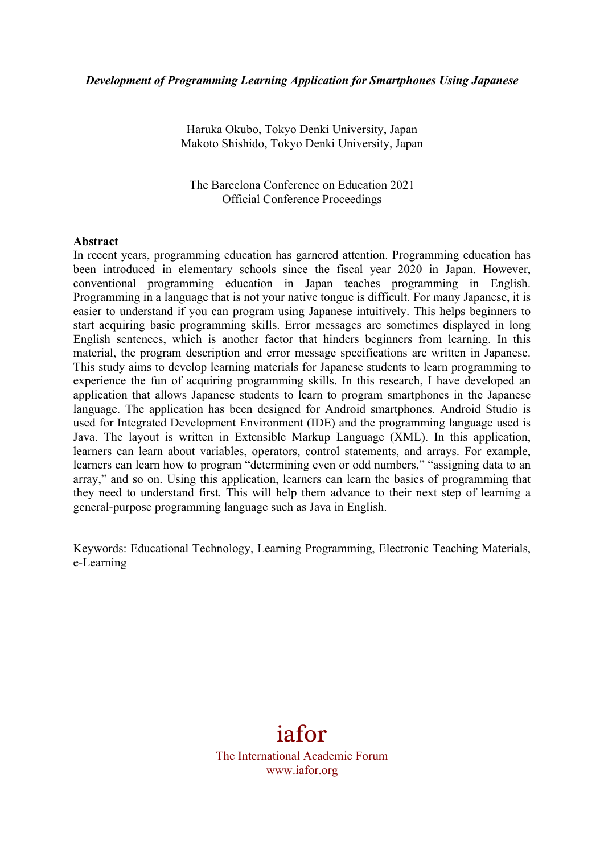Haruka Okubo, Tokyo Denki University, Japan Makoto Shishido, Tokyo Denki University, Japan

The Barcelona Conference on Education 2021 Official Conference Proceedings

#### **Abstract**

In recent years, programming education has garnered attention. Programming education has been introduced in elementary schools since the fiscal year 2020 in Japan. However, conventional programming education in Japan teaches programming in English. Programming in a language that is not your native tongue is difficult. For many Japanese, it is easier to understand if you can program using Japanese intuitively. This helps beginners to start acquiring basic programming skills. Error messages are sometimes displayed in long English sentences, which is another factor that hinders beginners from learning. In this material, the program description and error message specifications are written in Japanese. This study aims to develop learning materials for Japanese students to learn programming to experience the fun of acquiring programming skills. In this research, I have developed an application that allows Japanese students to learn to program smartphones in the Japanese language. The application has been designed for Android smartphones. Android Studio is used for Integrated Development Environment (IDE) and the programming language used is Java. The layout is written in Extensible Markup Language (XML). In this application, learners can learn about variables, operators, control statements, and arrays. For example, learners can learn how to program "determining even or odd numbers," "assigning data to an array," and so on. Using this application, learners can learn the basics of programming that they need to understand first. This will help them advance to their next step of learning a general-purpose programming language such as Java in English.

Keywords: Educational Technology, Learning Programming, Electronic Teaching Materials, e-Learning

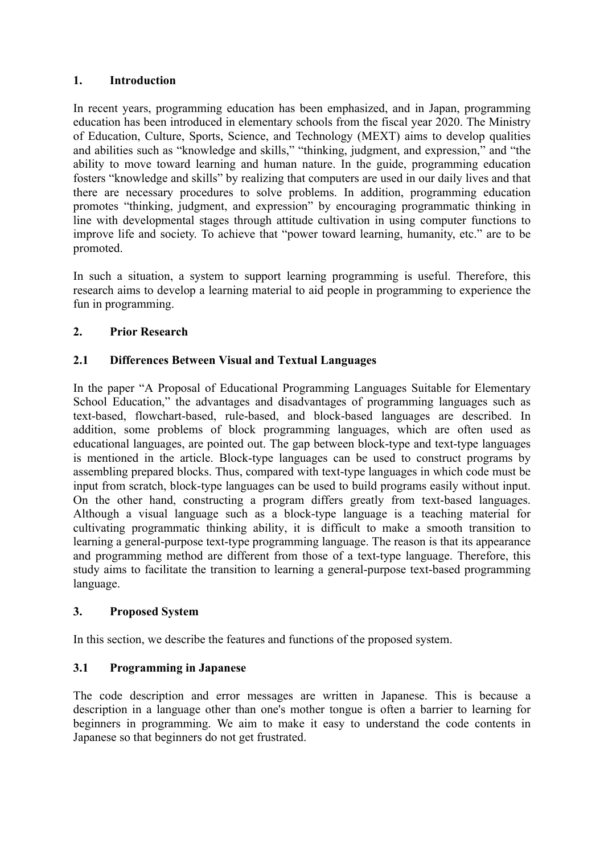## **1. Introduction**

In recent years, programming education has been emphasized, and in Japan, programming education has been introduced in elementary schools from the fiscal year 2020. The Ministry of Education, Culture, Sports, Science, and Technology (MEXT) aims to develop qualities and abilities such as "knowledge and skills," "thinking, judgment, and expression," and "the ability to move toward learning and human nature. In the guide, programming education fosters "knowledge and skills" by realizing that computers are used in our daily lives and that there are necessary procedures to solve problems. In addition, programming education promotes "thinking, judgment, and expression" by encouraging programmatic thinking in line with developmental stages through attitude cultivation in using computer functions to improve life and society. To achieve that "power toward learning, humanity, etc." are to be promoted.

In such a situation, a system to support learning programming is useful. Therefore, this research aims to develop a learning material to aid people in programming to experience the fun in programming.

# **2. Prior Research**

# **2.1 Differences Between Visual and Textual Languages**

In the paper "A Proposal of Educational Programming Languages Suitable for Elementary School Education," the advantages and disadvantages of programming languages such as text-based, flowchart-based, rule-based, and block-based languages are described. In addition, some problems of block programming languages, which are often used as educational languages, are pointed out. The gap between block-type and text-type languages is mentioned in the article. Block-type languages can be used to construct programs by assembling prepared blocks. Thus, compared with text-type languages in which code must be input from scratch, block-type languages can be used to build programs easily without input. On the other hand, constructing a program differs greatly from text-based languages. Although a visual language such as a block-type language is a teaching material for cultivating programmatic thinking ability, it is difficult to make a smooth transition to learning a general-purpose text-type programming language. The reason is that its appearance and programming method are different from those of a text-type language. Therefore, this study aims to facilitate the transition to learning a general-purpose text-based programming language.

### **3. Proposed System**

In this section, we describe the features and functions of the proposed system.

### **3.1 Programming in Japanese**

The code description and error messages are written in Japanese. This is because a description in a language other than one's mother tongue is often a barrier to learning for beginners in programming. We aim to make it easy to understand the code contents in Japanese so that beginners do not get frustrated.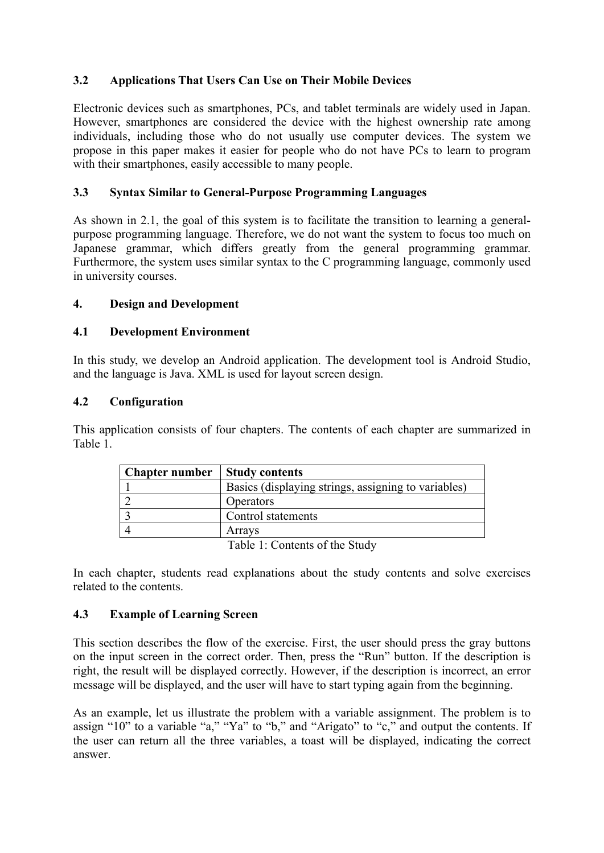# **3.2 Applications That Users Can Use on Their Mobile Devices**

Electronic devices such as smartphones, PCs, and tablet terminals are widely used in Japan. However, smartphones are considered the device with the highest ownership rate among individuals, including those who do not usually use computer devices. The system we propose in this paper makes it easier for people who do not have PCs to learn to program with their smartphones, easily accessible to many people.

### **3.3 Syntax Similar to General-Purpose Programming Languages**

As shown in 2.1, the goal of this system is to facilitate the transition to learning a generalpurpose programming language. Therefore, we do not want the system to focus too much on Japanese grammar, which differs greatly from the general programming grammar. Furthermore, the system uses similar syntax to the C programming language, commonly used in university courses.

# **4. Design and Development**

### **4.1 Development Environment**

In this study, we develop an Android application. The development tool is Android Studio, and the language is Java. XML is used for layout screen design.

### **4.2 Configuration**

This application consists of four chapters. The contents of each chapter are summarized in Table 1.

| <b>Chapter number</b> | <b>Study contents</b>                               |
|-----------------------|-----------------------------------------------------|
|                       | Basics (displaying strings, assigning to variables) |
|                       | Operators                                           |
|                       | Control statements                                  |
|                       | Arravs                                              |
|                       | ____<br>_ _ _ _ _                                   |

Table 1: Contents of the Study

In each chapter, students read explanations about the study contents and solve exercises related to the contents.

### **4.3 Example of Learning Screen**

This section describes the flow of the exercise. First, the user should press the gray buttons on the input screen in the correct order. Then, press the "Run" button. If the description is right, the result will be displayed correctly. However, if the description is incorrect, an error message will be displayed, and the user will have to start typing again from the beginning.

As an example, let us illustrate the problem with a variable assignment. The problem is to assign "10" to a variable "a," "Ya" to "b," and "Arigato" to "c," and output the contents. If the user can return all the three variables, a toast will be displayed, indicating the correct answer.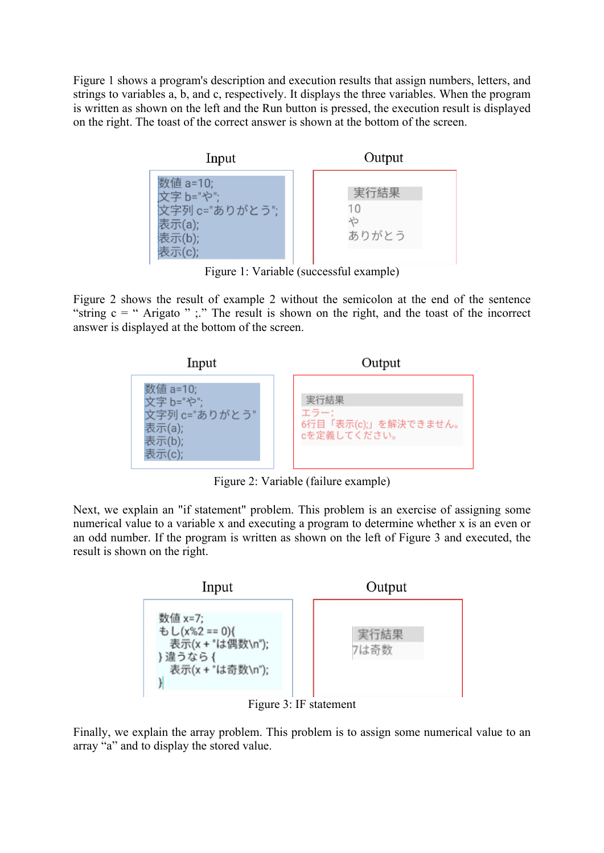Figure 1 shows a program's description and execution results that assign numbers, letters, and strings to variables a, b, and c, respectively. It displays the three variables. When the program is written as shown on the left and the Run button is pressed, the execution result is displayed on the right. The toast of the correct answer is shown at the bottom of the screen.



Figure 1: Variable (successful example)

Figure 2 shows the result of example 2 without the semicolon at the end of the sentence "string  $c =$  " Arigato " ;." The result is shown on the right, and the toast of the incorrect answer is displayed at the bottom of the screen.



Figure 2: Variable (failure example)

Next, we explain an "if statement" problem. This problem is an exercise of assigning some numerical value to a variable x and executing a program to determine whether x is an even or an odd number. If the program is written as shown on the left of Figure 3 and executed, the result is shown on the right.



Figure 3: IF statement

Finally, we explain the array problem. This problem is to assign some numerical value to an array "a" and to display the stored value.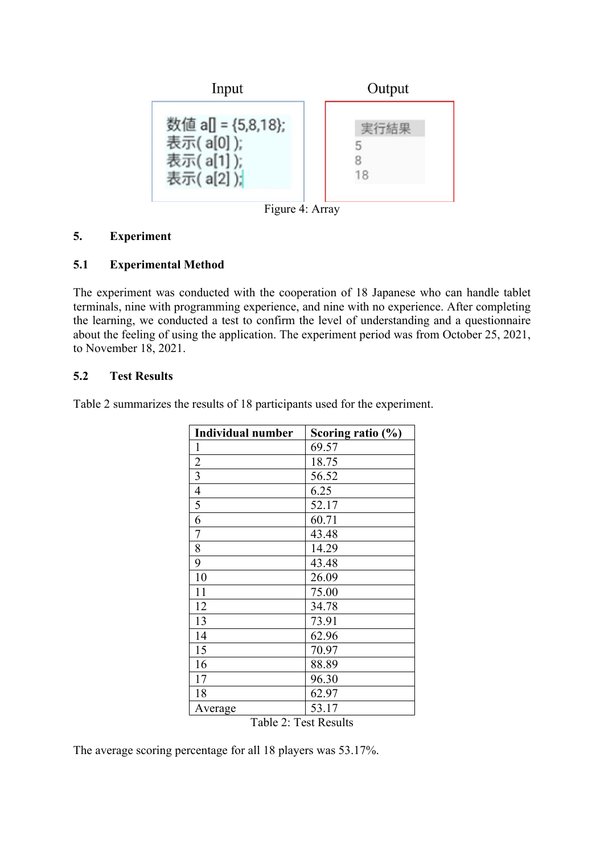

### **5. Experiment**

#### **5.1 Experimental Method**

The experiment was conducted with the cooperation of 18 Japanese who can handle tablet terminals, nine with programming experience, and nine with no experience. After completing the learning, we conducted a test to confirm the level of understanding and a questionnaire about the feeling of using the application. The experiment period was from October 25, 2021, to November 18, 2021.

### **5.2 Test Results**

Table 2 summarizes the results of 18 participants used for the experiment.

| <b>Individual number</b>                               | Scoring ratio $(\% )$   |
|--------------------------------------------------------|-------------------------|
| 1                                                      | 69.57                   |
| $rac{2}{3}$                                            | 18.75                   |
|                                                        | 56.52                   |
| $\overline{4}$                                         | 6.25                    |
| $\overline{5}$                                         | 52.17                   |
| 6                                                      | 60.71                   |
| $\overline{7}$                                         | 43.48                   |
| 8                                                      | 14.29                   |
| 9                                                      | 43.48                   |
| 10                                                     | 26.09                   |
| 11                                                     | 75.00                   |
| 12                                                     | 34.78                   |
| 13                                                     | 73.91                   |
| 14                                                     | 62.96                   |
| 15                                                     | 70.97                   |
| 16                                                     | 88.89                   |
| 17                                                     | 96.30                   |
| 18                                                     | 62.97                   |
| Average<br>- - -<br>$\sim$<br>$\overline{\phantom{a}}$ | 53.17<br>$\blacksquare$ |

Table 2: Test Results

The average scoring percentage for all 18 players was 53.17%.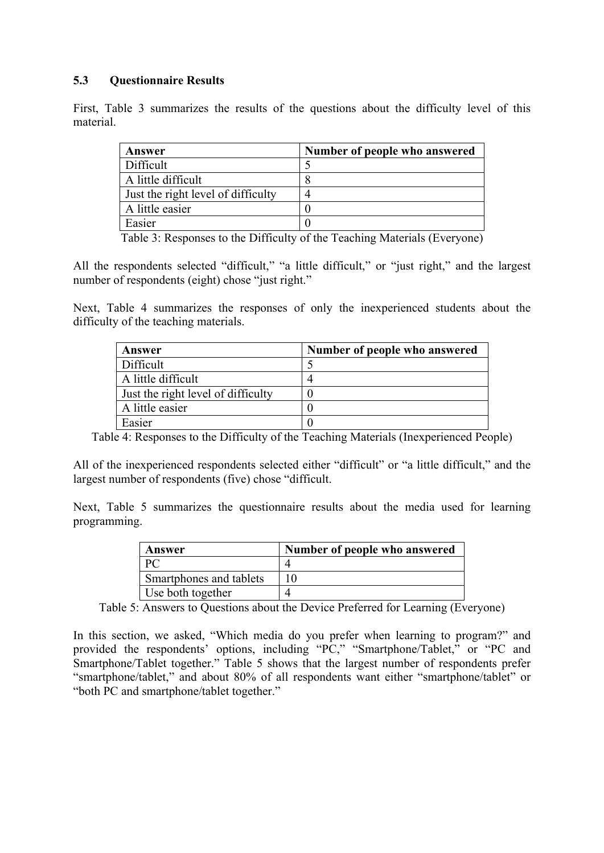## **5.3 Questionnaire Results**

First, Table 3 summarizes the results of the questions about the difficulty level of this material.

| Answer                             | Number of people who answered |
|------------------------------------|-------------------------------|
| Difficult                          |                               |
| A little difficult                 |                               |
| Just the right level of difficulty |                               |
| A little easier                    |                               |
| Easier                             |                               |

Table 3: Responses to the Difficulty of the Teaching Materials (Everyone)

All the respondents selected "difficult," "a little difficult," or "just right," and the largest number of respondents (eight) chose "just right."

Next, Table 4 summarizes the responses of only the inexperienced students about the difficulty of the teaching materials.

| Answer                             | Number of people who answered |
|------------------------------------|-------------------------------|
| Difficult                          |                               |
| A little difficult                 |                               |
| Just the right level of difficulty |                               |
| A little easier                    |                               |
| Easier                             |                               |

Table 4: Responses to the Difficulty of the Teaching Materials (Inexperienced People)

All of the inexperienced respondents selected either "difficult" or "a little difficult," and the largest number of respondents (five) chose "difficult.

Next, Table 5 summarizes the questionnaire results about the media used for learning programming.

| Answer                  | Number of people who answered |
|-------------------------|-------------------------------|
|                         |                               |
| Smartphones and tablets |                               |
| Use both together       |                               |

Table 5: Answers to Questions about the Device Preferred for Learning (Everyone)

In this section, we asked, "Which media do you prefer when learning to program?" and provided the respondents' options, including "PC," "Smartphone/Tablet," or "PC and Smartphone/Tablet together." Table 5 shows that the largest number of respondents prefer "smartphone/tablet," and about 80% of all respondents want either "smartphone/tablet" or "both PC and smartphone/tablet together."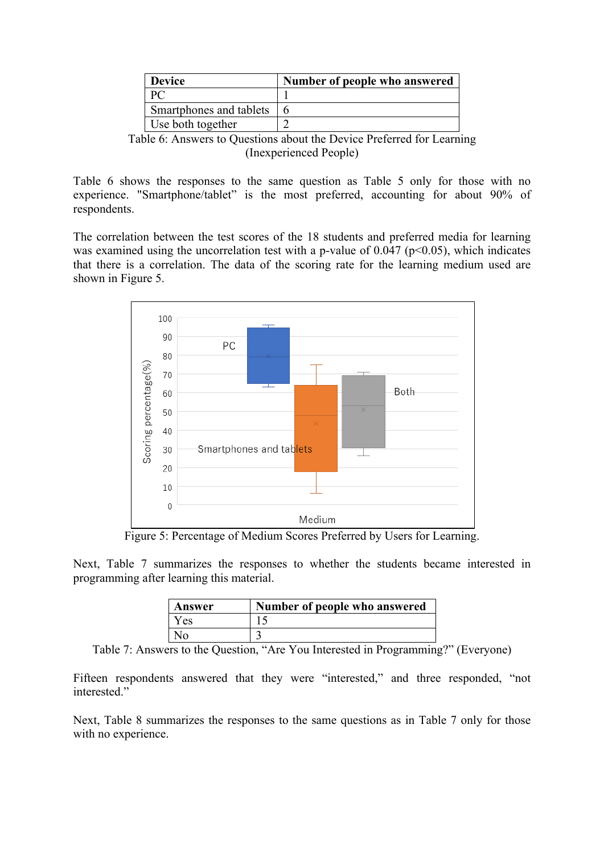| <b>Device</b>           | Number of people who answered |
|-------------------------|-------------------------------|
|                         |                               |
| Smartphones and tablets | h                             |
| Use both together       |                               |

Table 6: Answers to Questions about the Device Preferred for Learning (Inexperienced People)

Table 6 shows the responses to the same question as Table 5 only for those with no experience. "Smartphone/tablet" is the most preferred, accounting for about 90% of respondents.

The correlation between the test scores of the 18 students and preferred media for learning was examined using the uncorrelation test with a p-value of  $0.047$  ( $p<0.05$ ), which indicates that there is a correlation. The data of the scoring rate for the learning medium used are shown in Figure 5.



Figure 5: Percentage of Medium Scores Preferred by Users for Learning.

Next, Table 7 summarizes the responses to whether the students became interested in programming after learning this material.

| Answer       | Number of people who answered |
|--------------|-------------------------------|
| Yes.         |                               |
| $N_{\Omega}$ |                               |

Table 7: Answers to the Question, "Are You Interested in Programming?" (Everyone)

Fifteen respondents answered that they were "interested," and three responded, "not interested."

Next, Table 8 summarizes the responses to the same questions as in Table 7 only for those with no experience.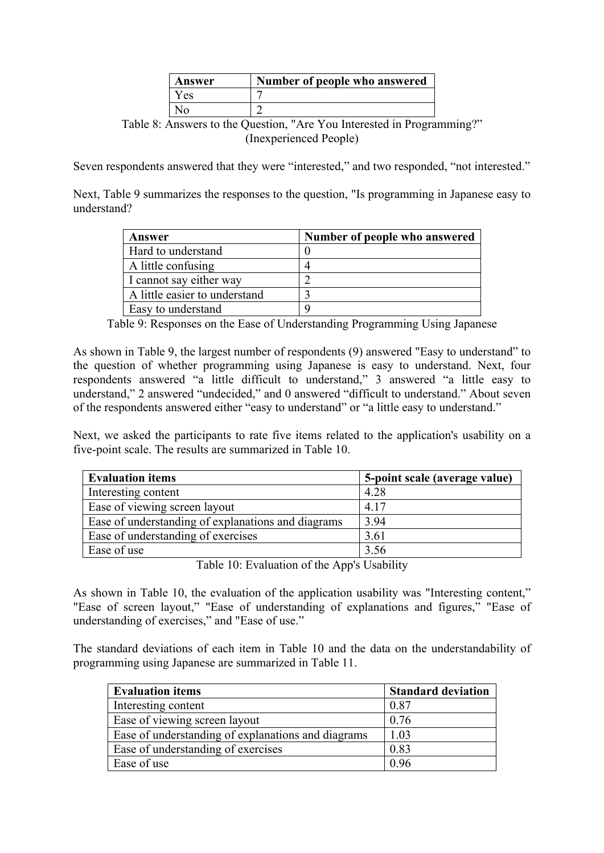| Answer | Number of people who answered |
|--------|-------------------------------|
| Y es   |                               |
|        |                               |

Table 8: Answers to the Question, "Are You Interested in Programming?" (Inexperienced People)

Seven respondents answered that they were "interested," and two responded, "not interested."

Next, Table 9 summarizes the responses to the question, "Is programming in Japanese easy to understand?

| Answer                        | Number of people who answered |
|-------------------------------|-------------------------------|
| Hard to understand            |                               |
| A little confusing            |                               |
| I cannot say either way       |                               |
| A little easier to understand |                               |
| Easy to understand            |                               |

Table 9: Responses on the Ease of Understanding Programming Using Japanese

As shown in Table 9, the largest number of respondents (9) answered "Easy to understand" to the question of whether programming using Japanese is easy to understand. Next, four respondents answered "a little difficult to understand," 3 answered "a little easy to understand," 2 answered "undecided," and 0 answered "difficult to understand." About seven of the respondents answered either "easy to understand" or "a little easy to understand."

Next, we asked the participants to rate five items related to the application's usability on a five-point scale. The results are summarized in Table 10.

| <b>Evaluation items</b>                            | 5-point scale (average value) |
|----------------------------------------------------|-------------------------------|
| Interesting content                                | 4.28                          |
| Ease of viewing screen layout                      | 4.17                          |
| Ease of understanding of explanations and diagrams | 3.94                          |
| Ease of understanding of exercises                 | 3.61                          |
| Ease of use                                        | 3.56                          |

Table 10: Evaluation of the App's Usability

As shown in Table 10, the evaluation of the application usability was "Interesting content," "Ease of screen layout," "Ease of understanding of explanations and figures," "Ease of understanding of exercises," and "Ease of use."

The standard deviations of each item in Table 10 and the data on the understandability of programming using Japanese are summarized in Table 11.

| <b>Evaluation items</b>                            | <b>Standard deviation</b> |
|----------------------------------------------------|---------------------------|
| Interesting content                                | 0.87                      |
| Ease of viewing screen layout                      | 0.76                      |
| Ease of understanding of explanations and diagrams | 1.03                      |
| Ease of understanding of exercises                 | 0.83                      |
| Ease of use                                        | 0.96                      |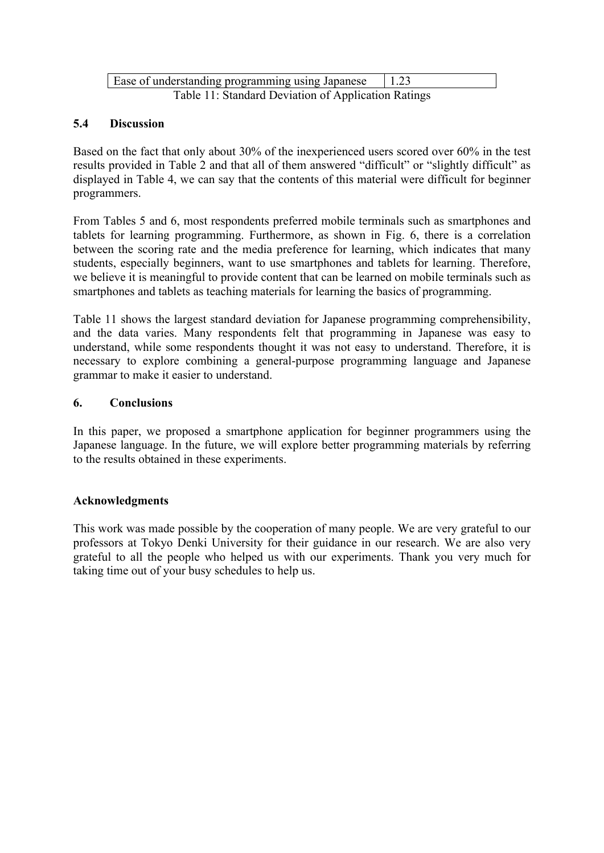| Ease of understanding programming using Japanese    | 1.23 |
|-----------------------------------------------------|------|
| Table 11: Standard Deviation of Application Ratings |      |

#### **5.4 Discussion**

Based on the fact that only about 30% of the inexperienced users scored over 60% in the test results provided in Table 2 and that all of them answered "difficult" or "slightly difficult" as displayed in Table 4, we can say that the contents of this material were difficult for beginner programmers.

From Tables 5 and 6, most respondents preferred mobile terminals such as smartphones and tablets for learning programming. Furthermore, as shown in Fig. 6, there is a correlation between the scoring rate and the media preference for learning, which indicates that many students, especially beginners, want to use smartphones and tablets for learning. Therefore, we believe it is meaningful to provide content that can be learned on mobile terminals such as smartphones and tablets as teaching materials for learning the basics of programming.

Table 11 shows the largest standard deviation for Japanese programming comprehensibility, and the data varies. Many respondents felt that programming in Japanese was easy to understand, while some respondents thought it was not easy to understand. Therefore, it is necessary to explore combining a general-purpose programming language and Japanese grammar to make it easier to understand.

#### **6. Conclusions**

In this paper, we proposed a smartphone application for beginner programmers using the Japanese language. In the future, we will explore better programming materials by referring to the results obtained in these experiments.

### **Acknowledgments**

This work was made possible by the cooperation of many people. We are very grateful to our professors at Tokyo Denki University for their guidance in our research. We are also very grateful to all the people who helped us with our experiments. Thank you very much for taking time out of your busy schedules to help us.